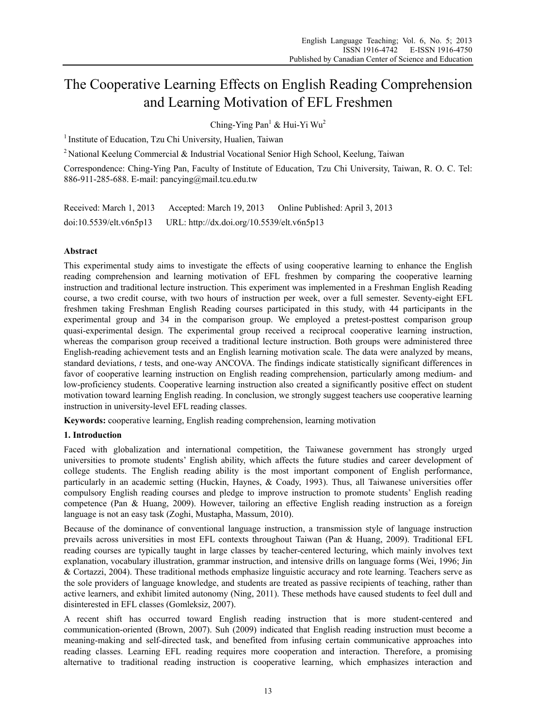# The Cooperative Learning Effects on English Reading Comprehension and Learning Motivation of EFL Freshmen

Ching-Ying Pan<sup>1</sup> & Hui-Yi Wu<sup>2</sup>

<sup>1</sup> Institute of Education, Tzu Chi University, Hualien, Taiwan

2 National Keelung Commercial & Industrial Vocational Senior High School, Keelung, Taiwan

Correspondence: Ching-Ying Pan, Faculty of Institute of Education, Tzu Chi University, Taiwan, R. O. C. Tel: 886-911-285-688. E-mail: pancying@mail.tcu.edu.tw

Received: March 1, 2013 Accepted: March 19, 2013 Online Published: April 3, 2013 doi:10.5539/elt.v6n5p13 URL: http://dx.doi.org/10.5539/elt.v6n5p13

# **Abstract**

This experimental study aims to investigate the effects of using cooperative learning to enhance the English reading comprehension and learning motivation of EFL freshmen by comparing the cooperative learning instruction and traditional lecture instruction. This experiment was implemented in a Freshman English Reading course, a two credit course, with two hours of instruction per week, over a full semester. Seventy-eight EFL freshmen taking Freshman English Reading courses participated in this study, with 44 participants in the experimental group and 34 in the comparison group. We employed a pretest-posttest comparison group quasi-experimental design. The experimental group received a reciprocal cooperative learning instruction, whereas the comparison group received a traditional lecture instruction. Both groups were administered three English-reading achievement tests and an English learning motivation scale. The data were analyzed by means, standard deviations, *t* tests, and one-way ANCOVA. The findings indicate statistically significant differences in favor of cooperative learning instruction on English reading comprehension, particularly among medium- and low-proficiency students. Cooperative learning instruction also created a significantly positive effect on student motivation toward learning English reading. In conclusion, we strongly suggest teachers use cooperative learning instruction in university-level EFL reading classes.

**Keywords:** cooperative learning, English reading comprehension, learning motivation

# **1. Introduction**

Faced with globalization and international competition, the Taiwanese government has strongly urged universities to promote students' English ability, which affects the future studies and career development of college students. The English reading ability is the most important component of English performance, particularly in an academic setting (Huckin, Haynes, & Coady, 1993). Thus, all Taiwanese universities offer compulsory English reading courses and pledge to improve instruction to promote students' English reading competence (Pan & Huang, 2009). However, tailoring an effective English reading instruction as a foreign language is not an easy task (Zoghi, Mustapha, Massum, 2010).

Because of the dominance of conventional language instruction, a transmission style of language instruction prevails across universities in most EFL contexts throughout Taiwan (Pan & Huang, 2009). Traditional EFL reading courses are typically taught in large classes by teacher-centered lecturing, which mainly involves text explanation, vocabulary illustration, grammar instruction, and intensive drills on language forms (Wei, 1996; Jin & Cortazzi, 2004). These traditional methods emphasize linguistic accuracy and rote learning. Teachers serve as the sole providers of language knowledge, and students are treated as passive recipients of teaching, rather than active learners, and exhibit limited autonomy (Ning, 2011). These methods have caused students to feel dull and disinterested in EFL classes (Gomleksiz, 2007).

A recent shift has occurred toward English reading instruction that is more student-centered and communication-oriented (Brown, 2007). Suh (2009) indicated that English reading instruction must become a meaning-making and self-directed task, and benefited from infusing certain communicative approaches into reading classes. Learning EFL reading requires more cooperation and interaction. Therefore, a promising alternative to traditional reading instruction is cooperative learning, which emphasizes interaction and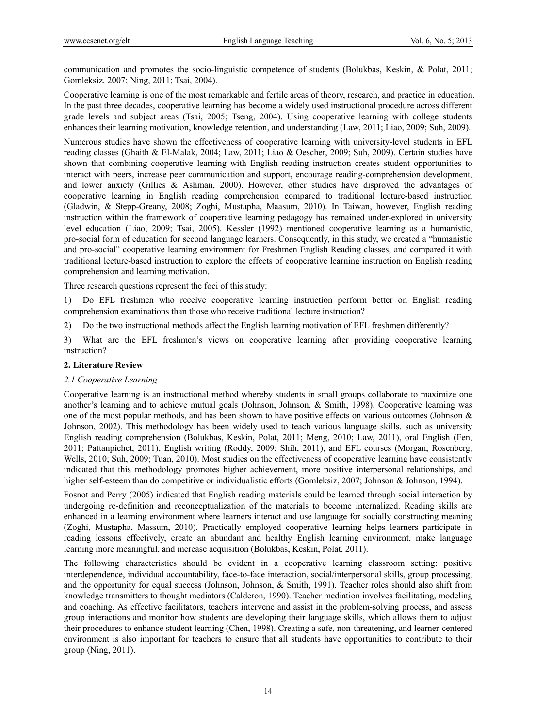communication and promotes the socio-linguistic competence of students (Bolukbas, Keskin, & Polat, 2011; Gomleksiz, 2007; Ning, 2011; Tsai, 2004).

Cooperative learning is one of the most remarkable and fertile areas of theory, research, and practice in education. In the past three decades, cooperative learning has become a widely used instructional procedure across different grade levels and subject areas (Tsai, 2005; Tseng, 2004). Using cooperative learning with college students enhances their learning motivation, knowledge retention, and understanding (Law, 2011; Liao, 2009; Suh, 2009).

Numerous studies have shown the effectiveness of cooperative learning with university-level students in EFL reading classes (Ghaith & El-Malak, 2004; Law, 2011; Liao & Oescher, 2009; Suh, 2009). Certain studies have shown that combining cooperative learning with English reading instruction creates student opportunities to interact with peers, increase peer communication and support, encourage reading-comprehension development, and lower anxiety (Gillies & Ashman, 2000). However, other studies have disproved the advantages of cooperative learning in English reading comprehension compared to traditional lecture-based instruction (Gladwin, & Stepp-Greany, 2008; Zoghi, Mustapha, Maasum, 2010). In Taiwan, however, English reading instruction within the framework of cooperative learning pedagogy has remained under-explored in university level education (Liao, 2009; Tsai, 2005). Kessler (1992) mentioned cooperative learning as a humanistic, pro-social form of education for second language learners. Consequently, in this study, we created a "humanistic and pro-social" cooperative learning environment for Freshmen English Reading classes, and compared it with traditional lecture-based instruction to explore the effects of cooperative learning instruction on English reading comprehension and learning motivation.

Three research questions represent the foci of this study:

1) Do EFL freshmen who receive cooperative learning instruction perform better on English reading comprehension examinations than those who receive traditional lecture instruction?

2) Do the two instructional methods affect the English learning motivation of EFL freshmen differently?

3) What are the EFL freshmen's views on cooperative learning after providing cooperative learning instruction?

## **2. Literature Review**

## *2.1 Cooperative Learning*

Cooperative learning is an instructional method whereby students in small groups collaborate to maximize one another's learning and to achieve mutual goals (Johnson, Johnson, & Smith, 1998). Cooperative learning was one of the most popular methods, and has been shown to have positive effects on various outcomes (Johnson & Johnson, 2002). This methodology has been widely used to teach various language skills, such as university English reading comprehension (Bolukbas, Keskin, Polat, 2011; Meng, 2010; Law, 2011), oral English (Fen, 2011; Pattanpichet, 2011), English writing (Roddy, 2009; Shih, 2011), and EFL courses (Morgan, Rosenberg, Wells, 2010; Suh, 2009; Tuan, 2010). Most studies on the effectiveness of cooperative learning have consistently indicated that this methodology promotes higher achievement, more positive interpersonal relationships, and higher self-esteem than do competitive or individualistic efforts (Gomleksiz, 2007; Johnson & Johnson, 1994).

Fosnot and Perry (2005) indicated that English reading materials could be learned through social interaction by undergoing re-definition and reconceptualization of the materials to become internalized. Reading skills are enhanced in a learning environment where learners interact and use language for socially constructing meaning (Zoghi, Mustapha, Massum, 2010). Practically employed cooperative learning helps learners participate in reading lessons effectively, create an abundant and healthy English learning environment, make language learning more meaningful, and increase acquisition (Bolukbas, Keskin, Polat, 2011).

The following characteristics should be evident in a cooperative learning classroom setting: positive interdependence, individual accountability, face-to-face interaction, social/interpersonal skills, group processing, and the opportunity for equal success (Johnson, Johnson, & Smith, 1991). Teacher roles should also shift from knowledge transmitters to thought mediators (Calderon, 1990). Teacher mediation involves facilitating, modeling and coaching. As effective facilitators, teachers intervene and assist in the problem-solving process, and assess group interactions and monitor how students are developing their language skills, which allows them to adjust their procedures to enhance student learning (Chen, 1998). Creating a safe, non-threatening, and learner-centered environment is also important for teachers to ensure that all students have opportunities to contribute to their group (Ning, 2011).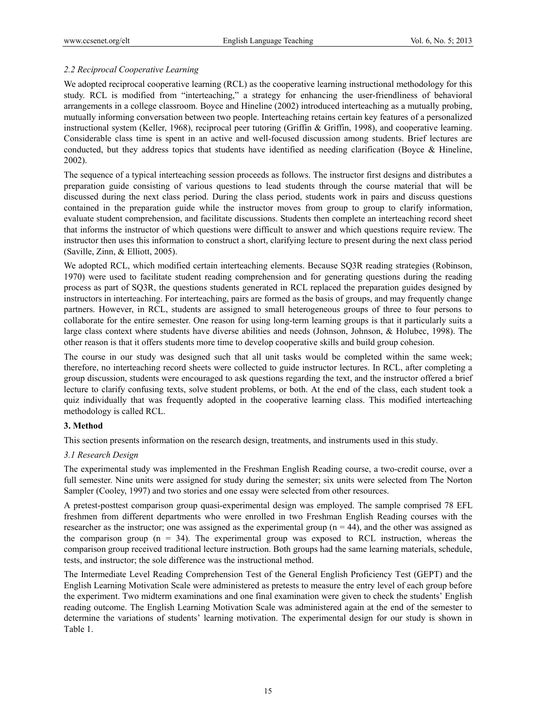# *2.2 Reciprocal Cooperative Learning*

We adopted reciprocal cooperative learning (RCL) as the cooperative learning instructional methodology for this study. RCL is modified from "interteaching," a strategy for enhancing the user-friendliness of behavioral arrangements in a college classroom. Boyce and Hineline (2002) introduced interteaching as a mutually probing, mutually informing conversation between two people. Interteaching retains certain key features of a personalized instructional system (Keller, 1968), reciprocal peer tutoring (Griffin & Griffin, 1998), and cooperative learning. Considerable class time is spent in an active and well-focused discussion among students. Brief lectures are conducted, but they address topics that students have identified as needing clarification (Boyce & Hineline, 2002).

The sequence of a typical interteaching session proceeds as follows. The instructor first designs and distributes a preparation guide consisting of various questions to lead students through the course material that will be discussed during the next class period. During the class period, students work in pairs and discuss questions contained in the preparation guide while the instructor moves from group to group to clarify information, evaluate student comprehension, and facilitate discussions. Students then complete an interteaching record sheet that informs the instructor of which questions were difficult to answer and which questions require review. The instructor then uses this information to construct a short, clarifying lecture to present during the next class period (Saville, Zinn, & Elliott, 2005).

We adopted RCL, which modified certain interteaching elements. Because SO3R reading strategies (Robinson, 1970) were used to facilitate student reading comprehension and for generating questions during the reading process as part of SQ3R, the questions students generated in RCL replaced the preparation guides designed by instructors in interteaching. For interteaching, pairs are formed as the basis of groups, and may frequently change partners. However, in RCL, students are assigned to small heterogeneous groups of three to four persons to collaborate for the entire semester. One reason for using long-term learning groups is that it particularly suits a large class context where students have diverse abilities and needs (Johnson, Johnson, & Holubec, 1998). The other reason is that it offers students more time to develop cooperative skills and build group cohesion.

The course in our study was designed such that all unit tasks would be completed within the same week; therefore, no interteaching record sheets were collected to guide instructor lectures. In RCL, after completing a group discussion, students were encouraged to ask questions regarding the text, and the instructor offered a brief lecture to clarify confusing texts, solve student problems, or both. At the end of the class, each student took a quiz individually that was frequently adopted in the cooperative learning class. This modified interteaching methodology is called RCL.

## **3. Method**

This section presents information on the research design, treatments, and instruments used in this study.

## *3.1 Research Design*

The experimental study was implemented in the Freshman English Reading course, a two-credit course, over a full semester. Nine units were assigned for study during the semester; six units were selected from The Norton Sampler (Cooley, 1997) and two stories and one essay were selected from other resources.

A pretest-posttest comparison group quasi-experimental design was employed. The sample comprised 78 EFL freshmen from different departments who were enrolled in two Freshman English Reading courses with the researcher as the instructor; one was assigned as the experimental group  $(n = 44)$ , and the other was assigned as the comparison group  $(n = 34)$ . The experimental group was exposed to RCL instruction, whereas the comparison group received traditional lecture instruction. Both groups had the same learning materials, schedule, tests, and instructor; the sole difference was the instructional method.

The Intermediate Level Reading Comprehension Test of the General English Proficiency Test (GEPT) and the English Learning Motivation Scale were administered as pretests to measure the entry level of each group before the experiment. Two midterm examinations and one final examination were given to check the students' English reading outcome. The English Learning Motivation Scale was administered again at the end of the semester to determine the variations of students' learning motivation. The experimental design for our study is shown in Table 1.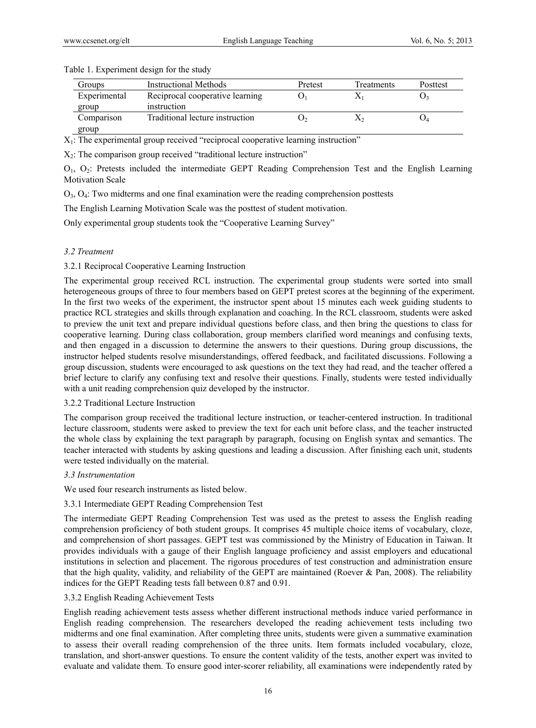| Groups       | <b>Instructional Methods</b>    | Pretest | Treatments | Posttest |
|--------------|---------------------------------|---------|------------|----------|
| Experimental | Reciprocal cooperative learning |         |            |          |
| group        | instruction                     |         |            |          |
| Comparison   | Traditional lecture instruction |         | Ã٥         |          |
| group        |                                 |         |            |          |

#### Table 1. Experiment design for the study

 $X_1$ : The experimental group received "reciprocal cooperative learning instruction"

 $X_2$ : The comparison group received "traditional lecture instruction"

O1, O2: Pretests included the intermediate GEPT Reading Comprehension Test and the English Learning Motivation Scale

 $O_3$ ,  $O_4$ : Two midterms and one final examination were the reading comprehension posttests

The English Learning Motivation Scale was the posttest of student motivation.

Only experimental group students took the "Cooperative Learning Survey"

## *3.2 Treatment*

3.2.1 Reciprocal Cooperative Learning Instruction

The experimental group received RCL instruction. The experimental group students were sorted into small heterogeneous groups of three to four members based on GEPT pretest scores at the beginning of the experiment. In the first two weeks of the experiment, the instructor spent about 15 minutes each week guiding students to practice RCL strategies and skills through explanation and coaching. In the RCL classroom, students were asked to preview the unit text and prepare individual questions before class, and then bring the questions to class for cooperative learning. During class collaboration, group members clarified word meanings and confusing texts, and then engaged in a discussion to determine the answers to their questions. During group discussions, the instructor helped students resolve misunderstandings, offered feedback, and facilitated discussions. Following a group discussion, students were encouraged to ask questions on the text they had read, and the teacher offered a brief lecture to clarify any confusing text and resolve their questions. Finally, students were tested individually with a unit reading comprehension quiz developed by the instructor.

#### 3.2.2 Traditional Lecture Instruction

The comparison group received the traditional lecture instruction, or teacher-centered instruction. In traditional lecture classroom, students were asked to preview the text for each unit before class, and the teacher instructed the whole class by explaining the text paragraph by paragraph, focusing on English syntax and semantics. The teacher interacted with students by asking questions and leading a discussion. After finishing each unit, students were tested individually on the material.

## *3.3 Instrumentation*

We used four research instruments as listed below.

## 3.3.1 Intermediate GEPT Reading Comprehension Test

The intermediate GEPT Reading Comprehension Test was used as the pretest to assess the English reading comprehension proficiency of both student groups. It comprises 45 multiple choice items of vocabulary, cloze, and comprehension of short passages. GEPT test was commissioned by the Ministry of Education in Taiwan. It provides individuals with a gauge of their English language proficiency and assist employers and educational institutions in selection and placement. The rigorous procedures of test construction and administration ensure that the high quality, validity, and reliability of the GEPT are maintained (Roever & Pan, 2008). The reliability indices for the GEPT Reading tests fall between 0.87 and 0.91.

## 3.3.2 English Reading Achievement Tests

English reading achievement tests assess whether different instructional methods induce varied performance in English reading comprehension. The researchers developed the reading achievement tests including two midterms and one final examination. After completing three units, students were given a summative examination to assess their overall reading comprehension of the three units. Item formats included vocabulary, cloze, translation, and short-answer questions. To ensure the content validity of the tests, another expert was invited to evaluate and validate them. To ensure good inter-scorer reliability, all examinations were independently rated by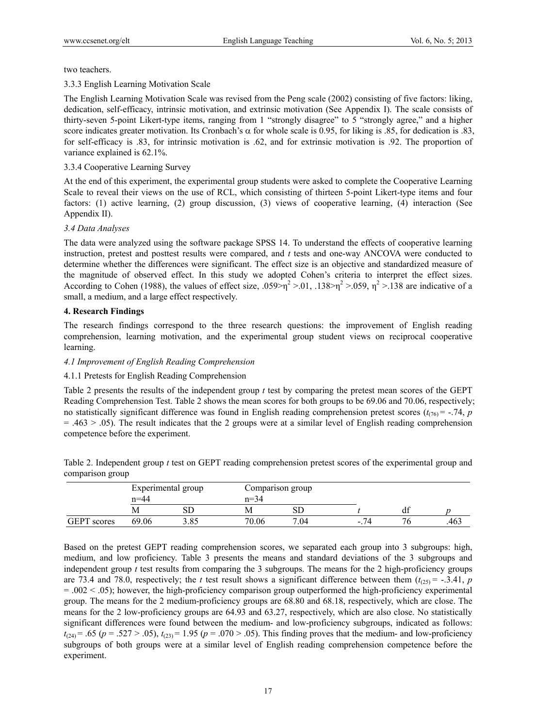two teachers.

3.3.3 English Learning Motivation Scale

The English Learning Motivation Scale was revised from the Peng scale (2002) consisting of five factors: liking, dedication, self-efficacy, intrinsic motivation, and extrinsic motivation (See Appendix I). The scale consists of thirty-seven 5-point Likert-type items, ranging from 1 "strongly disagree" to 5 "strongly agree," and a higher score indicates greater motivation. Its Cronbach's  $\alpha$  for whole scale is 0.95, for liking is .85, for dedication is .83, for self-efficacy is .83, for intrinsic motivation is .62, and for extrinsic motivation is .92. The proportion of variance explained is 62.1%.

#### 3.3.4 Cooperative Learning Survey

At the end of this experiment, the experimental group students were asked to complete the Cooperative Learning Scale to reveal their views on the use of RCL, which consisting of thirteen 5-point Likert-type items and four factors: (1) active learning, (2) group discussion, (3) views of cooperative learning, (4) interaction (See Appendix II).

#### *3.4 Data Analyses*

The data were analyzed using the software package SPSS 14. To understand the effects of cooperative learning instruction, pretest and posttest results were compared, and *t* tests and one-way ANCOVA were conducted to determine whether the differences were significant. The effect size is an objective and standardized measure of the magnitude of observed effect. In this study we adopted Cohen's criteria to interpret the effect sizes. According to Cohen (1988), the values of effect size, .059> $\eta^2$  >.01, .138> $\eta^2$  >.059,  $\eta^2$  >.138 are indicative of a small, a medium, and a large effect respectively.

#### **4. Research Findings**

The research findings correspond to the three research questions: the improvement of English reading comprehension, learning motivation, and the experimental group student views on reciprocal cooperative learning.

#### *4.1 Improvement of English Reading Comprehension*

## 4.1.1 Pretests for English Reading Comprehension

Table 2 presents the results of the independent group *t* test by comparing the pretest mean scores of the GEPT Reading Comprehension Test. Table 2 shows the mean scores for both groups to be 69.06 and 70.06, respectively; no statistically significant difference was found in English reading comprehension pretest scores  $(t_{(76)} = -0.74, p$  $= .463 > .05$ ). The result indicates that the 2 groups were at a similar level of English reading comprehension competence before the experiment.

Table 2. Independent group *t* test on GEPT reading comprehension pretest scores of the experimental group and comparison group

|                    | n=44  | Experimental group | $n=34$ | Comparison group    |        |    |     |
|--------------------|-------|--------------------|--------|---------------------|--------|----|-----|
|                    | M     | SГ                 | M      | _ں ب                |        | Q1 |     |
| <b>GEPT</b> scores | 69.06 |                    | 70.06  | $\mathbf{r}$<br>.04 | $\sim$ |    | 463 |

Based on the pretest GEPT reading comprehension scores, we separated each group into 3 subgroups: high, medium, and low proficiency. Table 3 presents the means and standard deviations of the 3 subgroups and independent group *t* test results from comparing the 3 subgroups. The means for the 2 high-proficiency groups are 73.4 and 78.0, respectively; the *t* test result shows a significant difference between them  $(t_{(25)} = -.3.41, p$  $=$  .002  $\le$  .05); however, the high-proficiency comparison group outperformed the high-proficiency experimental group. The means for the 2 medium-proficiency groups are 68.80 and 68.18, respectively, which are close. The means for the 2 low-proficiency groups are 64.93 and 63.27, respectively, which are also close. No statistically significant differences were found between the medium- and low-proficiency subgroups, indicated as follows:  $t_{(24)} = .65$  ( $p = .527 > .05$ ),  $t_{(23)} = 1.95$  ( $p = .070 > .05$ ). This finding proves that the medium- and low-proficiency subgroups of both groups were at a similar level of English reading comprehension competence before the experiment.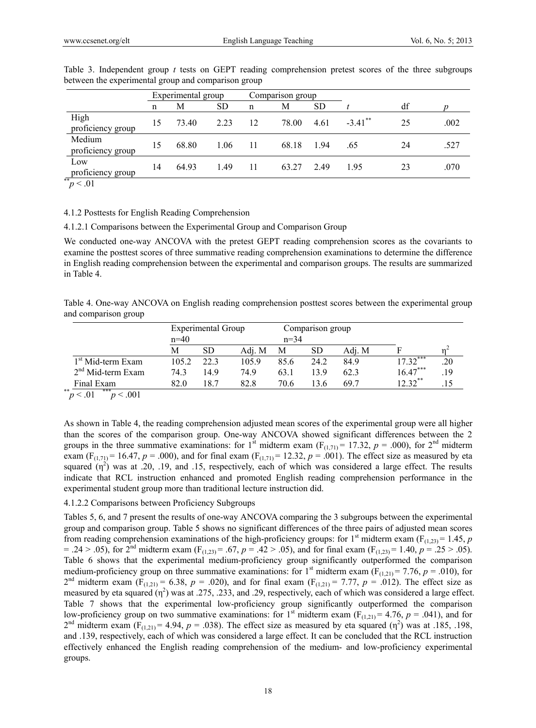|                                  |    | Experimental group |           |    | Comparison group |      |            |    |      |
|----------------------------------|----|--------------------|-----------|----|------------------|------|------------|----|------|
|                                  | n  | М                  | <b>SD</b> | n  | М                | SD   |            | df |      |
| High<br>proficiency group        | 15 | 73.40              | 2.23      | 12 | 78.00            | 4.61 | $-3.41$ ** | 25 | .002 |
| Medium<br>proficiency group      | 15 | 68.80              | 1.06      |    | 68.18            | .94  | .65        | 24 | .527 |
| Low<br>proficiency group<br>$**$ | 14 | 64.93              | 1.49      | -1 | 63.27            | 2.49 | 195        | 23 | .070 |

Table 3. Independent group *t* tests on GEPT reading comprehension pretest scores of the three subgroups between the experimental group and comparison group

#### $\gamma p < 0.01$

#### 4.1.2 Posttests for English Reading Comprehension

4.1.2.1 Comparisons between the Experimental Group and Comparison Group

We conducted one-way ANCOVA with the pretest GEPT reading comprehension scores as the covariants to examine the posttest scores of three summative reading comprehension examinations to determine the difference in English reading comprehension between the experimental and comparison groups. The results are summarized in Table 4.

Table 4. One-way ANCOVA on English reading comprehension posttest scores between the experimental group and comparison group

|                               |        | Experimental Group |        |          | Comparison group |        |            |     |
|-------------------------------|--------|--------------------|--------|----------|------------------|--------|------------|-----|
|                               | $n=40$ |                    |        | $n = 34$ |                  |        |            |     |
|                               | М      | SD                 | Adi. M | M        | SD               | Adi. M |            |     |
| 1 <sup>st</sup> Mid-term Exam | 105.2  | 223                | 105.9  | 85.6     | 24.2             | 84.9   | $17.32***$ | .20 |
| $2nd$ Mid-term Exam           | 74.3   | 14.9               | 74.9   | 63.1     | 13.9             | 62.3   | $16.47***$ | .19 |
| Final Exam                    | 82.0   | 18.7               | 82.8   | 70.6     | 13.6             | 69.7   | $12.32***$ |     |
| **<br>***<br>p < 0.01<br>.001 |        |                    |        |          |                  |        |            |     |

As shown in Table 4, the reading comprehension adjusted mean scores of the experimental group were all higher than the scores of the comparison group. One-way ANCOVA showed significant differences between the 2 groups in the three summative examinations: for 1<sup>st</sup> midterm exam (F<sub>(1,71)</sub> = 17.32,  $p = .000$ ), for 2<sup>nd</sup> midterm exam (F<sub>(1,71)</sub> = 16.47, *p* = .000), and for final exam (F<sub>(1,71)</sub> = 12.32, *p* = .001). The effect size as measured by eta squared  $(\eta^2)$  was at .20, .19, and .15, respectively, each of which was considered a large effect. The results indicate that RCL instruction enhanced and promoted English reading comprehension performance in the experimental student group more than traditional lecture instruction did.

## 4.1.2.2 Comparisons between Proficiency Subgroups

Tables 5, 6, and 7 present the results of one-way ANCOVA comparing the 3 subgroups between the experimental group and comparison group. Table 5 shows no significant differences of the three pairs of adjusted mean scores from reading comprehension examinations of the high-proficiency groups: for 1<sup>st</sup> midterm exam ( $F_{(1,23)}$  = 1.45, *p*  $= .24 > .05$ , for 2<sup>nd</sup> midterm exam (F<sub>(1,23)</sub> = .67,  $p = .42 > .05$ ), and for final exam (F<sub>(1,23)</sub> = 1.40,  $p = .25 > .05$ ). Table 6 shows that the experimental medium-proficiency group significantly outperformed the comparison medium-proficiency group on three summative examinations: for 1<sup>st</sup> midterm exam ( $F_{(1,21)} = 7.76$ ,  $p = .010$ ), for 2<sup>nd</sup> midterm exam ( $F_{(1,21)} = 6.38$ ,  $p = .020$ ), and for final exam ( $F_{(1,21)} = 7.77$ ,  $p = .012$ ). The effect size as measured by eta squared  $(\eta^2)$  was at .275, .233, and .29, respectively, each of which was considered a large effect. Table 7 shows that the experimental low-proficiency group significantly outperformed the comparison low-proficiency group on two summative examinations: for 1<sup>st</sup> midterm exam ( $F_{(1,21)}$  = 4.76, *p* = .041), and for  $2^{nd}$  midterm exam (F<sub>(1,21)</sub> = 4.94,  $p = 0.038$ ). The effect size as measured by eta squared (η<sup>2</sup>) was at .185, .198, and .139, respectively, each of which was considered a large effect. It can be concluded that the RCL instruction effectively enhanced the English reading comprehension of the medium- and low-proficiency experimental groups.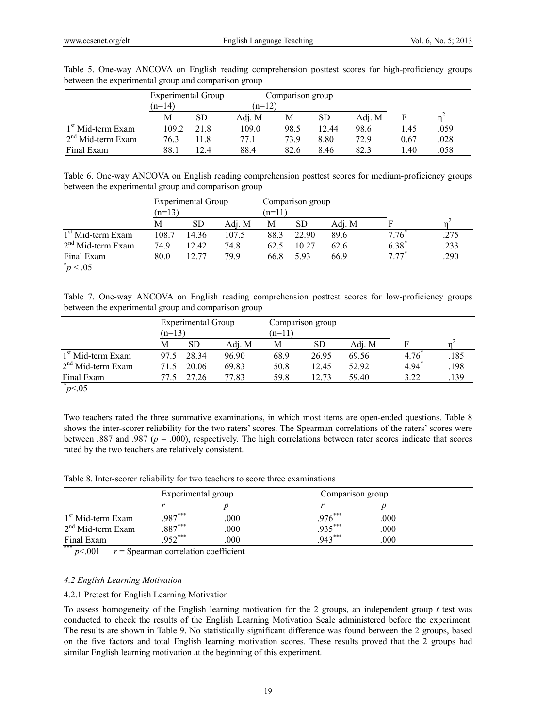|                               | <b>Experimental Group</b> |           |          | Comparison group |           |        |      |      |
|-------------------------------|---------------------------|-----------|----------|------------------|-----------|--------|------|------|
|                               | $(n=14)$                  |           | $(n=12)$ |                  |           |        |      |      |
|                               | Μ                         | <b>SD</b> | Adi. M   | M                | <b>SD</b> | Adi. M |      |      |
| 1 <sup>st</sup> Mid-term Exam | 109.2                     | 21.8      | 109.0    | 98.5             | 12.44     | 98.6   | 1.45 | .059 |
| $2nd$ Mid-term Exam           | 76.3                      | 11.8      | 77.1     | 73.9             | 8.80      | 72.9   | 0.67 | .028 |
| Final Exam                    | 88.1                      | 12.4      | 88.4     | 82.6             | 8.46      | 82.3   | 1.40 | .058 |

Table 5. One-way ANCOVA on English reading comprehension posttest scores for high-proficiency groups between the experimental group and comparison group

Table 6. One-way ANCOVA on English reading comprehension posttest scores for medium-proficiency groups between the experimental group and comparison group

|                               |          | <b>Experimental Group</b> |        |          | Comparison group |        |            |      |
|-------------------------------|----------|---------------------------|--------|----------|------------------|--------|------------|------|
|                               | $(n=13)$ |                           |        | $(n=11)$ |                  |        |            |      |
|                               | М        | <b>SD</b>                 | Adj. M | М        | <b>SD</b>        | Adj. M |            |      |
| 1 <sup>st</sup> Mid-term Exam | 108.7    | 14.36                     | 107.5  | 88.3     | 22.90            | 89.6   | 7.76       | .275 |
| $2nd$ Mid-term Exam           | 74.9     | 12.42                     | 74.8   | 62.5     | 10.27            | 62.6   | $6.38^{*}$ | .233 |
| Final Exam                    | 80.0     | 12.77                     | 799    | 66.8     | 5.93             | 66.9   | $7.77*$    | .290 |
| $p^* > .05$                   |          |                           |        |          |                  |        |            |      |

Table 7. One-way ANCOVA on English reading comprehension posttest scores for low-proficiency groups between the experimental group and comparison group

|                               |          | Experimental Group |        |          | Comparison group |        |      |      |
|-------------------------------|----------|--------------------|--------|----------|------------------|--------|------|------|
|                               | $(n=13)$ |                    |        | $(n=11)$ |                  |        |      |      |
|                               | M        | <b>SD</b>          | Adj. M | М        | SD               | Adj. M |      |      |
| 1 <sup>st</sup> Mid-term Exam | 97.5     | 28 34              | 96.90  | 68.9     | 26.95            | 69.56  | 4.76 | .185 |
| $2nd$ Mid-term Exam           | 71.5     | 20.06              | 69.83  | 50.8     | 12.45            | 52.92  | 4.94 | 198  |
| Final Exam                    |          | 27.26              | 77.83  | 59.8     | 12.73            | 59.40  | 3.22 | .139 |
| $\frac{1}{2}$ $\frac{1}{2}$   |          |                    |        |          |                  |        |      |      |

 $p<.05$ 

Two teachers rated the three summative examinations, in which most items are open-ended questions. Table 8 shows the inter-scorer reliability for the two raters' scores. The Spearman correlations of the raters' scores were between .887 and .987 (*p* = .000), respectively. The high correlations between rater scores indicate that scores rated by the two teachers are relatively consistent.

Table 8. Inter-scorer reliability for two teachers to score three examinations

|                                | Experimental group |      |           | Comparison group |  |  |
|--------------------------------|--------------------|------|-----------|------------------|--|--|
|                                |                    |      |           |                  |  |  |
| 1 <sup>st</sup> Mid-term Exam  | $.987***$          | .000 | $.976***$ | .000             |  |  |
| $2nd$ Mid-term Exam            | $.887***$          | .000 | $.935***$ | .000             |  |  |
| Final Exam<br><b>Standards</b> | $952***$           | .000 | $.943***$ | .000             |  |  |

\*\*\*  $p$ <.001  $r =$  Spearman correlation coefficient

# *4.2 English Learning Motivation*

# 4.2.1 Pretest for English Learning Motivation

To assess homogeneity of the English learning motivation for the 2 groups, an independent group *t* test was conducted to check the results of the English Learning Motivation Scale administered before the experiment. The results are shown in Table 9. No statistically significant difference was found between the 2 groups, based on the five factors and total English learning motivation scores. These results proved that the 2 groups had similar English learning motivation at the beginning of this experiment.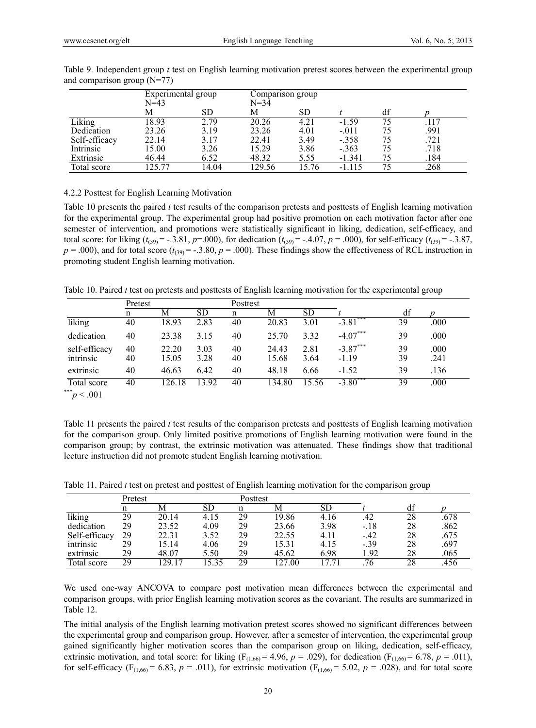|               | Experimental group<br>N=43 |       | Comparison group<br>$N = 34$ |           |          |    |      |
|---------------|----------------------------|-------|------------------------------|-----------|----------|----|------|
|               | M                          | SD    | М                            | <b>SD</b> |          | df |      |
| Liking        | 18.93                      | 2.79  | 20.26                        | 4.21      | $-1.59$  | 75 | .117 |
| Dedication    | 23.26                      | 3.19  | 23.26                        | 4.01      | $-.011$  | 75 | .991 |
| Self-efficacy | 22.14                      | 3.17  | 22.41                        | 3.49      | $-.358$  | 75 | .721 |
| Intrinsic     | 15.00                      | 3.26  | 15.29                        | 3.86      | $-.363$  | 75 | .718 |
| Extrinsic     | 46.44                      | 6.52  | 48.32                        | 5.55      | $-1.341$ | 75 | .184 |
| Total score   | 125.77                     | 14.04 | 129.56                       | 15.76     |          | 75 | .268 |

Table 9. Independent group *t* test on English learning motivation pretest scores between the experimental group and comparison group (N=77)

#### 4.2.2 Posttest for English Learning Motivation

Table 10 presents the paired *t* test results of the comparison pretests and posttests of English learning motivation for the experimental group. The experimental group had positive promotion on each motivation factor after one semester of intervention, and promotions were statistically significant in liking, dedication, self-efficacy, and total score: for liking  $(t_{(39)} = -.3.81, p = .000)$ , for dedication  $(t_{(39)} = -.4.07, p = .000)$ , for self-efficacy  $(t_{(39)} = -.3.87, p = .000)$  $p = .000$ , and for total score ( $t_{(39)} = .3.80$ ,  $p = .000$ ). These findings show the effectiveness of RCL instruction in promoting student English learning motivation.

Table 10. Paired *t* test on pretests and posttests of English learning motivation for the experimental group

|                            | Pretest  |                |              | Posttest |                |              |                        |          |              |
|----------------------------|----------|----------------|--------------|----------|----------------|--------------|------------------------|----------|--------------|
|                            | n        | Μ              | <b>SD</b>    | n        | М              | SD           |                        | df       |              |
| liking                     | 40       | 18.93          | 2.83         | 40       | 20.83          | 3.01         | $-3.81$ <sup>***</sup> | 39       | .000         |
| dedication                 | 40       | 23.38          | 3.15         | 40       | 25.70          | 3.32         | $-4.07***$             | 39       | .000         |
| self-efficacy<br>intrinsic | 40<br>40 | 22.20<br>15.05 | 3.03<br>3.28 | 40<br>40 | 24.43<br>15.68 | 2.81<br>3.64 | $-3.87***$<br>$-1.19$  | 39<br>39 | .000<br>.241 |
| extrinsic                  | 40       | 46.63          | 6.42         | 40       | 48.18          | 6.66         | $-1.52$                | 39       | .136         |
| Total score<br>***         | 40       | 26.<br>18      | .92<br>3     | 40       | 134.80         | 5.56         | $-3.80$                | 39       | .000         |
| 0.01                       |          |                |              |          |                |              |                        |          |              |

 $p < .001$ 

Table 11 presents the paired *t* test results of the comparison pretests and posttests of English learning motivation for the comparison group. Only limited positive promotions of English learning motivation were found in the comparison group; by contrast, the extrinsic motivation was attenuated. These findings show that traditional lecture instruction did not promote student English learning motivation.

Table 11. Paired *t* test on pretest and posttest of English learning motivation for the comparison group

|               | Pretest |       |      | Posttest |        |               |        |    |      |
|---------------|---------|-------|------|----------|--------|---------------|--------|----|------|
|               |         |       | SD   |          |        | SГ            |        |    |      |
| liking        | 29      | 20.14 | 4.15 | 29       | 19.86  | 4.16          | .42    | 28 | .678 |
| dedication    | 29      | 23.52 | 4.09 | 29       | 23.66  | 3.98          | $-.18$ | 28 | .862 |
| Self-efficacy | 29      | 22.31 | 3.52 | 29       | 22.55  | 4.11          | $-.42$ | 28 | .675 |
| intrinsic     | 29      | 15.14 | 4.06 | 29       | 15.31  | 4.15          | $-.39$ | 28 | .697 |
| extrinsic     | 29      | 48.07 | 5.50 | 29       | 45.62  | 6.98          | 1.92   | 28 | .065 |
| Total score   | 29      | 2917  |      | 29       | 127.00 | $\mathcal{L}$ | 76     | 28 | 456  |

We used one-way ANCOVA to compare post motivation mean differences between the experimental and comparison groups, with prior English learning motivation scores as the covariant. The results are summarized in Table 12.

The initial analysis of the English learning motivation pretest scores showed no significant differences between the experimental group and comparison group. However, after a semester of intervention, the experimental group gained significantly higher motivation scores than the comparison group on liking, dedication, self-efficacy, extrinsic motivation, and total score: for liking  $(F_{(1,66)} = 4.96, p = .029)$ , for dedication  $(F_{(1,66)} = 6.78, p = .011)$ , for self-efficacy ( $F_{(1,66)} = 6.83$ ,  $p = .011$ ), for extrinsic motivation ( $F_{(1,66)} = 5.02$ ,  $p = .028$ ), and for total score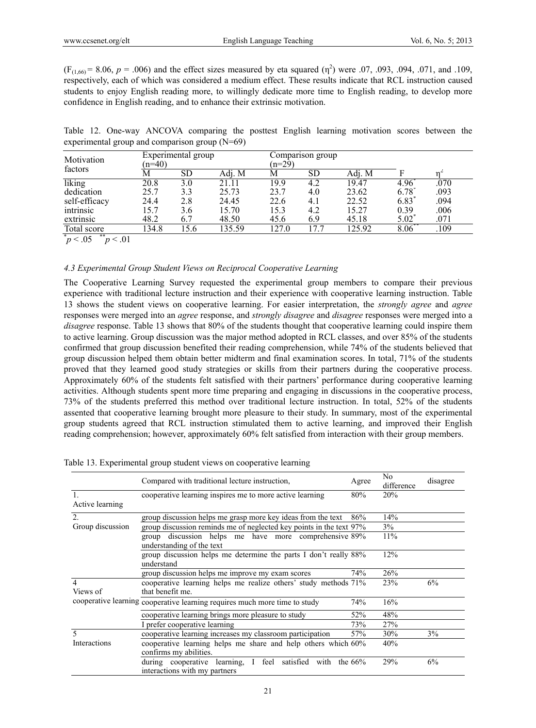$(F_{(1,66)} = 8.06, p = .006)$  and the effect sizes measured by eta squared  $(\eta^2)$  were .07, .093, .094, .071, and .109, respectively, each of which was considered a medium effect. These results indicate that RCL instruction caused students to enjoy English reading more, to willingly dedicate more time to English reading, to develop more confidence in English reading, and to enhance their extrinsic motivation.

Table 12. One-way ANCOVA comparing the posttest English learning motivation scores between the experimental group and comparison group (N=69)

| Motivation                     | $(n=40)$ | Experimental group |        |       | Comparison group<br>$(n=29)$ |        |      |      |  |
|--------------------------------|----------|--------------------|--------|-------|------------------------------|--------|------|------|--|
| factors                        | М        | SD                 | Adj. M | M     | SD                           | Adı. M |      |      |  |
| liking                         | 20.8     | 3.0                | 21.11  | 19.9  | 4.2                          | 19.47  | 4.96 | .070 |  |
| dedication                     | 25.7     | 3.3                | 25.73  | 23.7  | 4.0                          | 23.62  | 6.78 | .093 |  |
| self-efficacy                  | 24.4     | 2.8                | 24.45  | 22.6  | 4.1                          | 22.52  | 6.83 | .094 |  |
| intrinsic                      | l 5.7    | 3.6                | 15.70  | 15.3  | 4.2                          | 15.27  | 0.39 | .006 |  |
| extrinsic                      | 48.2     | 6.7                | 48.50  | 45.6  | 6.9                          | 45.18  | 5.02 | .071 |  |
| Total score                    | 134.8    | 5.6                | 135.59 | 127.0 | .7.7                         | 125.92 | 8.06 | .109 |  |
| **<br>$\sim$ 0.5<br>$\sim$ 0.1 |          |                    |        |       |                              |        |      |      |  |

 $p < 0.05$  $p < 0.01$ 

#### *4.3 Experimental Group Student Views on Reciprocal Cooperative Learning*

The Cooperative Learning Survey requested the experimental group members to compare their previous experience with traditional lecture instruction and their experience with cooperative learning instruction. Table 13 shows the student views on cooperative learning. For easier interpretation, the *strongly agree* and *agree* responses were merged into an *agree* response, and *strongly disagree* and *disagree* responses were merged into a *disagree* response. Table 13 shows that 80% of the students thought that cooperative learning could inspire them to active learning. Group discussion was the major method adopted in RCL classes, and over 85% of the students confirmed that group discussion benefited their reading comprehension, while 74% of the students believed that group discussion helped them obtain better midterm and final examination scores. In total, 71% of the students proved that they learned good study strategies or skills from their partners during the cooperative process. Approximately 60% of the students felt satisfied with their partners' performance during cooperative learning activities. Although students spent more time preparing and engaging in discussions in the cooperative process, 73% of the students preferred this method over traditional lecture instruction. In total, 52% of the students assented that cooperative learning brought more pleasure to their study. In summary, most of the experimental group students agreed that RCL instruction stimulated them to active learning, and improved their English reading comprehension; however, approximately 60% felt satisfied from interaction with their group members.

|                  | Compared with traditional lecture instruction,                                            | Agree      | N <sub>0</sub><br>difference | disagree |
|------------------|-------------------------------------------------------------------------------------------|------------|------------------------------|----------|
| Active learning  | cooperative learning inspires me to more active learning                                  | 80%        | 20%                          |          |
| $\overline{2}$ . | group discussion helps me grasp more key ideas from the text                              | 86%        | 14%                          |          |
| Group discussion | group discussion reminds me of neglected key points in the text 97%                       |            | 3%                           |          |
|                  | discussion helps me have more comprehensive 89%<br>group<br>understanding of the text     |            | 11%                          |          |
|                  | group discussion helps me determine the parts I don't really 88%<br>understand            |            | 12%                          |          |
|                  | group discussion helps me improve my exam scores                                          | 74%        | 26%                          |          |
| 4<br>Views of    | cooperative learning helps me realize others' study methods 71%<br>that benefit me.       |            | 23%                          | 6%       |
|                  | cooperative learning cooperative learning requires much more time to study                | 74%        | 16%                          |          |
|                  | cooperative learning brings more pleasure to study                                        | 52%        | 48%                          |          |
|                  | I prefer cooperative learning                                                             | 73%        | 27%                          |          |
|                  | cooperative learning increases my classroom participation                                 | 57%        | 30%                          | 3%       |
| Interactions     | cooperative learning helps me share and help others which 60%<br>confirms my abilities.   |            | 40%                          |          |
|                  | during cooperative learning, I<br>feel satisfied<br>with<br>interactions with my partners | the $66\%$ | 29%                          | 6%       |

|  | Table 13. Experimental group student views on cooperative learning |  |  |  |
|--|--------------------------------------------------------------------|--|--|--|
|  |                                                                    |  |  |  |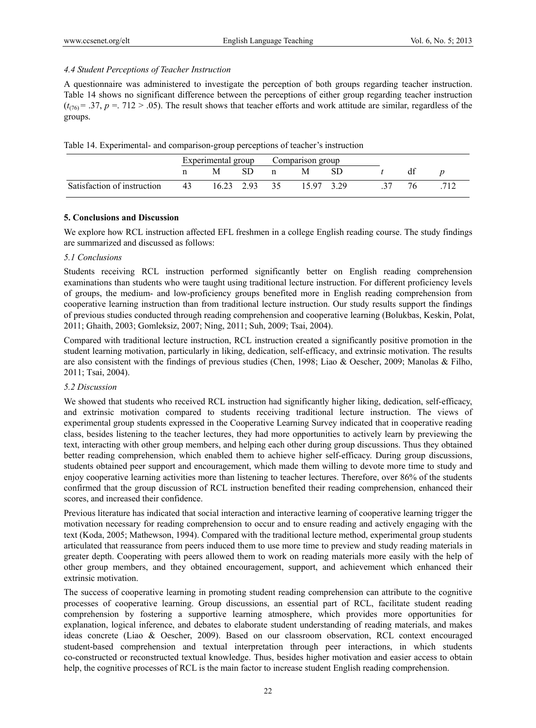#### *4.4 Student Perceptions of Teacher Instruction*

A questionnaire was administered to investigate the perception of both groups regarding teacher instruction. Table 14 shows no significant difference between the perceptions of either group regarding teacher instruction  $(t_{(76)} = .37, p = .712 > .05)$ . The result shows that teacher efforts and work attitude are similar, regardless of the groups.

| Table 14. Experimental- and comparison-group perceptions of teacher's instruction |  |  |  |
|-----------------------------------------------------------------------------------|--|--|--|
|                                                                                   |  |  |  |

|                             |    | Experimental group |            | Comparison group |          |  |  |  |
|-----------------------------|----|--------------------|------------|------------------|----------|--|--|--|
|                             |    | М                  | SD.        |                  | M        |  |  |  |
| Satisfaction of instruction | 43 |                    | 16.23 2.93 | 35               | 1597 329 |  |  |  |

#### **5. Conclusions and Discussion**

We explore how RCL instruction affected EFL freshmen in a college English reading course. The study findings are summarized and discussed as follows:

#### *5.1 Conclusions*

Students receiving RCL instruction performed significantly better on English reading comprehension examinations than students who were taught using traditional lecture instruction. For different proficiency levels of groups, the medium- and low-proficiency groups benefited more in English reading comprehension from cooperative learning instruction than from traditional lecture instruction. Our study results support the findings of previous studies conducted through reading comprehension and cooperative learning (Bolukbas, Keskin, Polat, 2011; Ghaith, 2003; Gomleksiz, 2007; Ning, 2011; Suh, 2009; Tsai, 2004).

Compared with traditional lecture instruction, RCL instruction created a significantly positive promotion in the student learning motivation, particularly in liking, dedication, self-efficacy, and extrinsic motivation. The results are also consistent with the findings of previous studies (Chen, 1998; Liao & Oescher, 2009; Manolas & Filho, 2011; Tsai, 2004).

#### *5.2 Discussion*

We showed that students who received RCL instruction had significantly higher liking, dedication, self-efficacy, and extrinsic motivation compared to students receiving traditional lecture instruction. The views of experimental group students expressed in the Cooperative Learning Survey indicated that in cooperative reading class, besides listening to the teacher lectures, they had more opportunities to actively learn by previewing the text, interacting with other group members, and helping each other during group discussions. Thus they obtained better reading comprehension, which enabled them to achieve higher self-efficacy. During group discussions, students obtained peer support and encouragement, which made them willing to devote more time to study and enjoy cooperative learning activities more than listening to teacher lectures. Therefore, over 86% of the students confirmed that the group discussion of RCL instruction benefited their reading comprehension, enhanced their scores, and increased their confidence.

Previous literature has indicated that social interaction and interactive learning of cooperative learning trigger the motivation necessary for reading comprehension to occur and to ensure reading and actively engaging with the text (Koda, 2005; Mathewson, 1994). Compared with the traditional lecture method, experimental group students articulated that reassurance from peers induced them to use more time to preview and study reading materials in greater depth. Cooperating with peers allowed them to work on reading materials more easily with the help of other group members, and they obtained encouragement, support, and achievement which enhanced their extrinsic motivation.

The success of cooperative learning in promoting student reading comprehension can attribute to the cognitive processes of cooperative learning. Group discussions, an essential part of RCL, facilitate student reading comprehension by fostering a supportive learning atmosphere, which provides more opportunities for explanation, logical inference, and debates to elaborate student understanding of reading materials, and makes ideas concrete (Liao & Oescher, 2009). Based on our classroom observation, RCL context encouraged student-based comprehension and textual interpretation through peer interactions, in which students co-constructed or reconstructed textual knowledge. Thus, besides higher motivation and easier access to obtain help, the cognitive processes of RCL is the main factor to increase student English reading comprehension.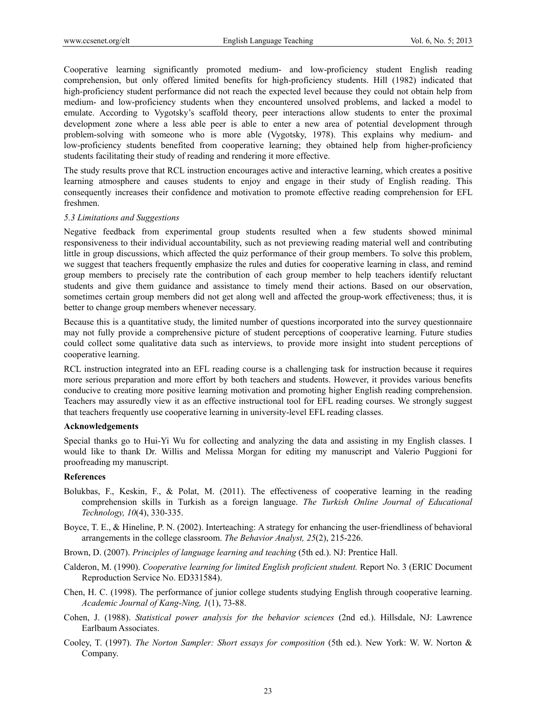Cooperative learning significantly promoted medium- and low-proficiency student English reading comprehension, but only offered limited benefits for high-proficiency students. Hill (1982) indicated that high-proficiency student performance did not reach the expected level because they could not obtain help from medium- and low-proficiency students when they encountered unsolved problems, and lacked a model to emulate. According to Vygotsky's scaffold theory, peer interactions allow students to enter the proximal development zone where a less able peer is able to enter a new area of potential development through problem-solving with someone who is more able (Vygotsky, 1978). This explains why medium- and low-proficiency students benefited from cooperative learning; they obtained help from higher-proficiency students facilitating their study of reading and rendering it more effective.

The study results prove that RCL instruction encourages active and interactive learning, which creates a positive learning atmosphere and causes students to enjoy and engage in their study of English reading. This consequently increases their confidence and motivation to promote effective reading comprehension for EFL freshmen.

#### *5.3 Limitations and Suggestions*

Negative feedback from experimental group students resulted when a few students showed minimal responsiveness to their individual accountability, such as not previewing reading material well and contributing little in group discussions, which affected the quiz performance of their group members. To solve this problem, we suggest that teachers frequently emphasize the rules and duties for cooperative learning in class, and remind group members to precisely rate the contribution of each group member to help teachers identify reluctant students and give them guidance and assistance to timely mend their actions. Based on our observation, sometimes certain group members did not get along well and affected the group-work effectiveness; thus, it is better to change group members whenever necessary.

Because this is a quantitative study, the limited number of questions incorporated into the survey questionnaire may not fully provide a comprehensive picture of student perceptions of cooperative learning. Future studies could collect some qualitative data such as interviews, to provide more insight into student perceptions of cooperative learning.

RCL instruction integrated into an EFL reading course is a challenging task for instruction because it requires more serious preparation and more effort by both teachers and students. However, it provides various benefits conducive to creating more positive learning motivation and promoting higher English reading comprehension. Teachers may assuredly view it as an effective instructional tool for EFL reading courses. We strongly suggest that teachers frequently use cooperative learning in university-level EFL reading classes.

#### **Acknowledgements**

Special thanks go to Hui-Yi Wu for collecting and analyzing the data and assisting in my English classes. I would like to thank Dr. Willis and Melissa Morgan for editing my manuscript and Valerio Puggioni for proofreading my manuscript.

## **References**

- Bolukbas, F., Keskin, F., & Polat, M. (2011). The effectiveness of cooperative learning in the reading comprehension skills in Turkish as a foreign language. *The Turkish Online Journal of Educational Technology, 10*(4), 330-335.
- Boyce, T. E., & Hineline, P. N. (2002). Interteaching: A strategy for enhancing the user-friendliness of behavioral arrangements in the college classroom. *The Behavior Analyst, 25*(2), 215-226.
- Brown, D. (2007). *Principles of language learning and teaching* (5th ed.). NJ: Prentice Hall.
- Calderon, M. (1990). *Cooperative learning for limited English proficient student.* Report No. 3 (ERIC Document Reproduction Service No. ED331584).
- Chen, H. C. (1998). The performance of junior college students studying English through cooperative learning. *Academic Journal of Kang-Ning, 1*(1), 73-88.
- Cohen, J. (1988). *Statistical power analysis for the behavior sciences* (2nd ed.). Hillsdale, NJ: Lawrence Earlbaum Associates.
- Cooley, T. (1997). *The Norton Sampler: Short essays for composition* (5th ed.). New York: W. W. Norton & Company.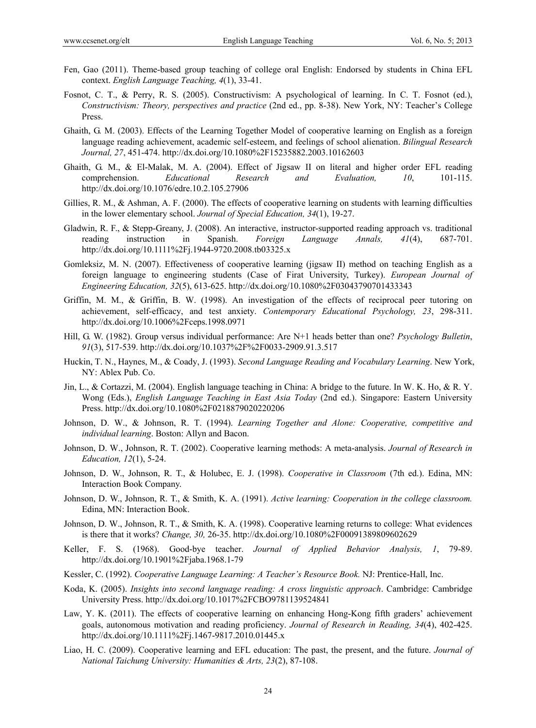- Fen, Gao (2011). Theme-based group teaching of college oral English: Endorsed by students in China EFL context. *English Language Teaching, 4*(1), 33-41.
- Fosnot, C. T., & Perry, R. S. (2005). Constructivism: A psychological of learning. In C. T. Fosnot (ed.), *Constructivism: Theory, perspectives and practice* (2nd ed., pp. 8-38). New York, NY: Teacher's College Press.
- Ghaith, G. M. (2003). Effects of the Learning Together Model of cooperative learning on English as a foreign language reading achievement, academic self-esteem, and feelings of school alienation. *Bilingual Research Journal, 27*, 451-474. http://dx.doi.org/10.1080%2F15235882.2003.10162603
- Ghaith, G. M., & El-Malak, M. A. (2004). Effect of Jigsaw II on literal and higher order EFL reading comprehension. *Educational Research and Evaluation, 10*, 101-115. http://dx.doi.org/10.1076/edre.10.2.105.27906
- Gillies, R. M., & Ashman, A. F. (2000). The effects of cooperative learning on students with learning difficulties in the lower elementary school. *Journal of Special Education, 34*(1), 19-27.
- Gladwin, R. F., & Stepp-Greany, J. (2008). An interactive, instructor-supported reading approach vs. traditional reading instruction in Spanish. *Foreign Language Annals, 41*(4), 687-701. http://dx.doi.org/10.1111%2Fj.1944-9720.2008.tb03325.x
- Gomleksiz, M. N. (2007). Effectiveness of cooperative learning (jigsaw II) method on teaching English as a foreign language to engineering students (Case of Firat University, Turkey). *European Journal of Engineering Education, 32*(5), 613-625. http://dx.doi.org/10.1080%2F03043790701433343
- Griffin, M. M., & Griffin, B. W. (1998). An investigation of the effects of reciprocal peer tutoring on achievement, self-efficacy, and test anxiety. *Contemporary Educational Psychology, 23*, 298-311. http://dx.doi.org/10.1006%2Fceps.1998.0971
- Hill, G. W. (1982). Group versus individual performance: Are N+1 heads better than one? *Psychology Bulletin*, *91*(3), 517-539. http://dx.doi.org/10.1037%2F%2F0033-2909.91.3.517
- Huckin, T. N., Haynes, M., & Coady, J. (1993). *Second Language Reading and Vocabulary Learning*. New York, NY: Ablex Pub. Co.
- Jin, L., & Cortazzi, M. (2004). English language teaching in China: A bridge to the future. In W. K. Ho, & R. Y. Wong (Eds.), *English Language Teaching in East Asia Today* (2nd ed.). Singapore: Eastern University Press. http://dx.doi.org/10.1080%2F0218879020220206
- Johnson, D. W., & Johnson, R. T. (1994). *Learning Together and Alone: Cooperative, competitive and individual learning*. Boston: Allyn and Bacon.
- Johnson, D. W., Johnson, R. T. (2002). Cooperative learning methods: A meta-analysis. *Journal of Research in Education, 12*(1), 5-24.
- Johnson, D. W., Johnson, R. T., & Holubec, E. J. (1998). *Cooperative in Classroom* (7th ed.). Edina, MN: Interaction Book Company.
- Johnson, D. W., Johnson, R. T., & Smith, K. A. (1991). *Active learning: Cooperation in the college classroom.* Edina, MN: Interaction Book.
- Johnson, D. W., Johnson, R. T., & Smith, K. A. (1998). Cooperative learning returns to college: What evidences is there that it works? *Change, 30,* 26-35. http://dx.doi.org/10.1080%2F00091389809602629
- Keller, F. S. (1968). Good-bye teacher. *Journal of Applied Behavior Analysis, 1*, 79-89. http://dx.doi.org/10.1901%2Fjaba.1968.1-79
- Kessler, C. (1992). *Cooperative Language Learning: A Teacher's Resource Book.* NJ: Prentice-Hall, Inc.
- Koda, K. (2005). *Insights into second language reading: A cross linguistic approach*. Cambridge: Cambridge University Press. http://dx.doi.org/10.1017%2FCBO9781139524841
- Law, Y. K. (2011). The effects of cooperative learning on enhancing Hong-Kong fifth graders' achievement goals, autonomous motivation and reading proficiency. *Journal of Research in Reading, 34*(4), 402-425. http://dx.doi.org/10.1111%2Fj.1467-9817.2010.01445.x
- Liao, H. C. (2009). Cooperative learning and EFL education: The past, the present, and the future. *Journal of National Taichung University: Humanities & Arts, 23*(2), 87-108.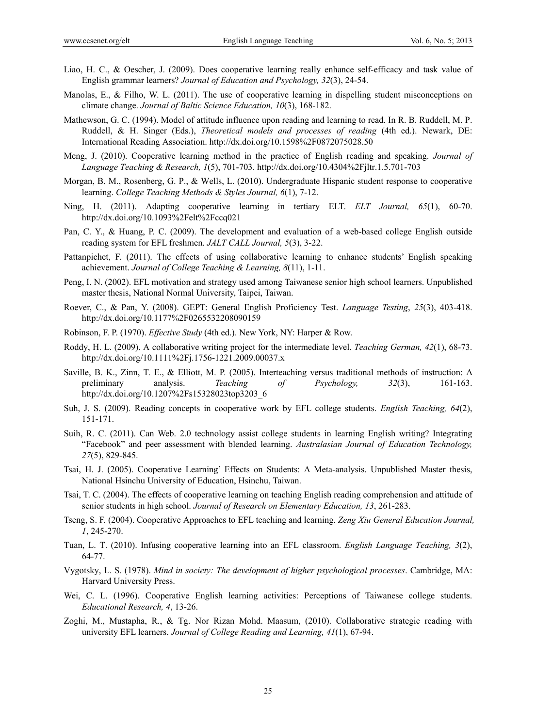- Liao, H. C., & Oescher, J. (2009). Does cooperative learning really enhance self-efficacy and task value of English grammar learners? *Journal of Education and Psychology, 32*(3), 24-54.
- Manolas, E., & Filho, W. L. (2011). The use of cooperative learning in dispelling student misconceptions on climate change. *Journal of Baltic Science Education, 10*(3), 168-182.
- Mathewson, G. C. (1994). Model of attitude influence upon reading and learning to read. In R. B. Ruddell, M. P. Ruddell, & H. Singer (Eds.), *Theoretical models and processes of reading* (4th ed.). Newark, DE: International Reading Association. http://dx.doi.org/10.1598%2F0872075028.50
- Meng, J. (2010). Cooperative learning method in the practice of English reading and speaking. *Journal of Language Teaching & Research, 1*(5), 701-703. http://dx.doi.org/10.4304%2Fjltr.1.5.701-703
- Morgan, B. M., Rosenberg, G. P., & Wells, L. (2010). Undergraduate Hispanic student response to cooperative learning. *College Teaching Methods & Styles Journal, 6*(1), 7-12.
- Ning, H. (2011). Adapting cooperative learning in tertiary ELT. *ELT Journal, 65*(1), 60-70. http://dx.doi.org/10.1093%2Felt%2Fccq021
- Pan, C. Y., & Huang, P. C. (2009). The development and evaluation of a web-based college English outside reading system for EFL freshmen. *JALT CALL Journal, 5*(3), 3-22.
- Pattanpichet, F. (2011). The effects of using collaborative learning to enhance students' English speaking achievement. *Journal of College Teaching & Learning, 8*(11), 1-11.
- Peng, I. N. (2002). EFL motivation and strategy used among Taiwanese senior high school learners. Unpublished master thesis, National Normal University, Taipei, Taiwan.
- Roever, C., & Pan, Y. (2008). GEPT: General English Proficiency Test. *Language Testing*, *25*(3), 403-418. http://dx.doi.org/10.1177%2F0265532208090159
- Robinson, F. P. (1970). *Effective Study* (4th ed.). New York, NY: Harper & Row.
- Roddy, H. L. (2009). A collaborative writing project for the intermediate level. *Teaching German, 42*(1), 68-73. http://dx.doi.org/10.1111%2Fj.1756-1221.2009.00037.x
- Saville, B. K., Zinn, T. E., & Elliott, M. P. (2005). Interteaching versus traditional methods of instruction: A preliminary analysis. *Teaching of Psychology, 32*(3), 161-163. http://dx.doi.org/10.1207%2Fs15328023top3203\_6
- Suh, J. S. (2009). Reading concepts in cooperative work by EFL college students. *English Teaching, 64*(2), 151-171.
- Suih, R. C. (2011). Can Web. 2.0 technology assist college students in learning English writing? Integrating "Facebook" and peer assessment with blended learning. *Australasian Journal of Education Technology, 27*(5), 829-845.
- Tsai, H. J. (2005). Cooperative Learning' Effects on Students: A Meta-analysis. Unpublished Master thesis, National Hsinchu University of Education, Hsinchu, Taiwan.
- Tsai, T. C. (2004). The effects of cooperative learning on teaching English reading comprehension and attitude of senior students in high school. *Journal of Research on Elementary Education, 13*, 261-283.
- Tseng, S. F. (2004). Cooperative Approaches to EFL teaching and learning. *Zeng Xiu General Education Journal, 1*, 245-270.
- Tuan, L. T. (2010). Infusing cooperative learning into an EFL classroom. *English Language Teaching, 3*(2), 64-77.
- Vygotsky, L. S. (1978). *Mind in society: The development of higher psychological processes*. Cambridge, MA: Harvard University Press.
- Wei, C. L. (1996). Cooperative English learning activities: Perceptions of Taiwanese college students. *Educational Research, 4*, 13-26.
- Zoghi, M., Mustapha, R., & Tg. Nor Rizan Mohd. Maasum, (2010). Collaborative strategic reading with university EFL learners. *Journal of College Reading and Learning, 41*(1), 67-94.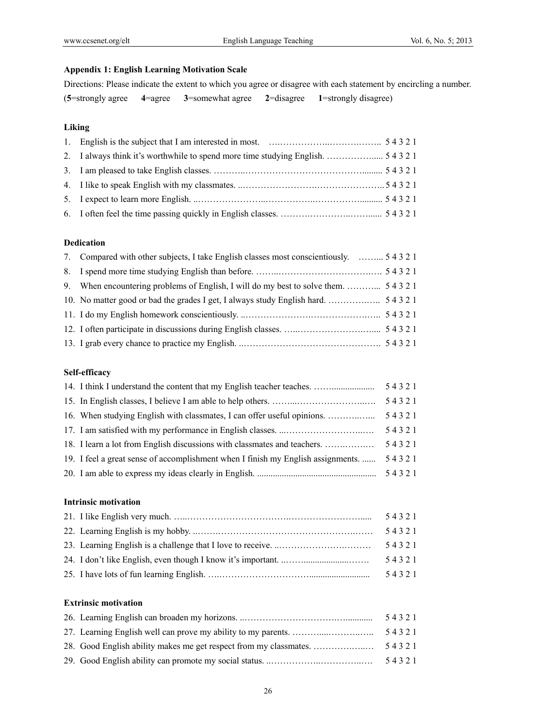# **Appendix 1: English Learning Motivation Scale**

Directions: Please indicate the extent to which you agree or disagree with each statement by encircling a number. (**5**=strongly agree **4**=agree **3**=somewhat agree **2**=disagree **1**=strongly disagree)

# **Liking**

# **Dedication**

| 7. Compared with other subjects, I take English classes most conscientiously.  5 4 3 2 1 |  |
|------------------------------------------------------------------------------------------|--|
|                                                                                          |  |
|                                                                                          |  |
|                                                                                          |  |
|                                                                                          |  |
|                                                                                          |  |
|                                                                                          |  |

# **Self-efficacy**

| 14. I think I understand the content that my English teacher teaches.            | 54321 |
|----------------------------------------------------------------------------------|-------|
|                                                                                  | 54321 |
|                                                                                  | 54321 |
|                                                                                  | 54321 |
|                                                                                  | 54321 |
| 19. I feel a great sense of accomplishment when I finish my English assignments. | 54321 |
|                                                                                  | 54321 |

# **Intrinsic motivation**

|  | 54321 |
|--|-------|
|  | 54321 |
|  | 54321 |
|  | 54321 |
|  | 54321 |

# **Extrinsic motivation**

|                                                                   | 54321 |
|-------------------------------------------------------------------|-------|
|                                                                   |       |
| 28. Good English ability makes me get respect from my classmates. | 54321 |
|                                                                   | 54321 |